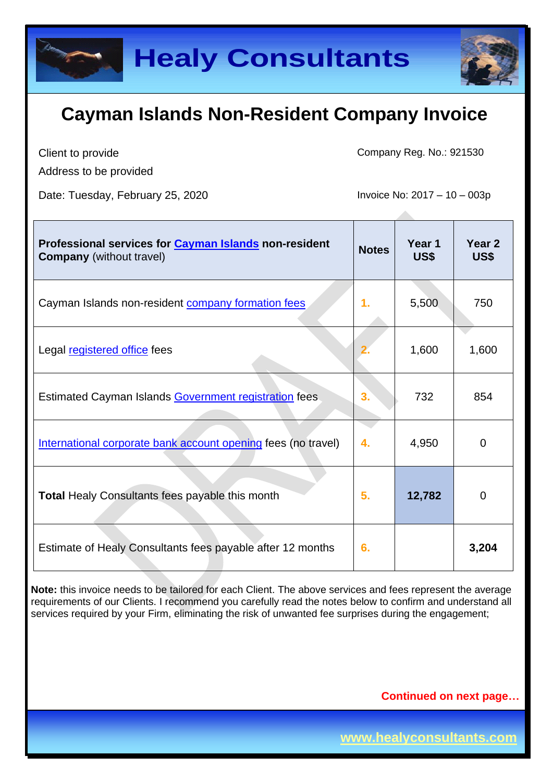

Client to provide

Address to be provided

Date: Tuesday, February 25, 2020 Invoice No: 2017 – 10 – 003p

Company Reg. No.: 921530

| Professional services for Cayman Islands non-resident<br><b>Company</b> (without travel) | <b>Notes</b> | Year 1<br>US\$ | Year <sub>2</sub><br>US\$ |
|------------------------------------------------------------------------------------------|--------------|----------------|---------------------------|
| Cayman Islands non-resident company formation fees                                       | 1.           | 5,500          | 750                       |
| Legal registered office fees                                                             |              | 1,600          | 1,600                     |
| Estimated Cayman Islands Government registration fees                                    | 3.           | 732            | 854                       |
| International corporate bank account opening fees (no travel)                            | 4.           | 4,950          | $\overline{0}$            |
| <b>Total Healy Consultants fees payable this month</b>                                   | 5.           | 12,782         | $\overline{0}$            |
| Estimate of Healy Consultants fees payable after 12 months                               | 6.           |                | 3,204                     |

**Note:** this invoice needs to be tailored for each Client. The above services and fees represent the average requirements of our Clients. I recommend you carefully read the notes below to confirm and understand all services required by your Firm, eliminating the risk of unwanted fee surprises during the engagement;

### **Continued on next page…**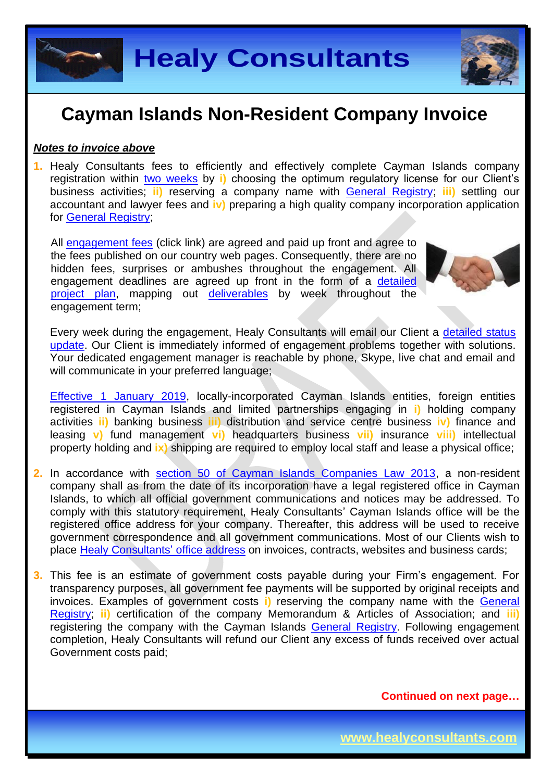**Healy Consultants**

## **Cayman Islands Non-Resident Company Invoice**

#### *Notes to invoice above*

**1.** Healy Consultants fees to efficiently and effectively complete Cayman Islands company registration within two [weeks](http://www.healyconsultants.com/cayman-islands-company-registration/fees-timelines/#timelines) by **i)** choosing the optimum regulatory license for our Client's business activities; **ii)** reserving a company name with [General Registry;](http://www.ciregistry.gov.ky/portal/page/portal/reghome) **iii)** settling our accountant and lawyer fees and **iv)** preparing a high quality company incorporation application for [General Registry;](http://www.ciregistry.gov.ky/portal/page/portal/reghome)

All [engagement fees](http://www.healyconsultants.com/company-registration-fees/) (click link) are agreed and paid up front and agree to the fees published on our country web pages. Consequently, there are no hidden fees, surprises or ambushes throughout the engagement. All engagement deadlines are agreed up front in the form of a [detailed](http://www.healyconsultants.com/index-important-links/example-project-plan/)  [project plan,](http://www.healyconsultants.com/index-important-links/example-project-plan/) mapping out [deliverables](http://www.healyconsultants.com/deliverables-to-our-clients/) by week throughout the engagement term;

Every week during the engagement, Healy Consultants will email our Client a [detailed status](http://www.healyconsultants.com/index-important-links/weekly-engagement-status-email/)  [update.](http://www.healyconsultants.com/index-important-links/weekly-engagement-status-email/) Our Client is immediately informed of engagement problems together with solutions. Your dedicated engagement manager is reachable by phone, Skype, live chat and email and will communicate in your preferred language;

[Effective 1 January 2019,](http://www.gov.ky/portal/pls/portal/docs/1/12738510.PDF) locally-incorporated Cayman Islands entities, foreign entities registered in Cayman Islands and limited partnerships engaging in **i)** holding company activities **ii)** banking business **iii)** distribution and service centre business **iv)** finance and leasing **v)** fund management **vi)** headquarters business **vii)** insurance **viii)** intellectual property holding and **ix)** shipping are required to employ local staff and lease a physical office;

- **2.** In accordance with [section 50 of Cayman Islands Companies Law 2013,](http://www.cimoney.com.ky/WorkArea/DownloadAsset.aspx?id=2147484123) a non-resident company shall as from the date of its incorporation have a legal registered office in Cayman Islands, to which all official government communications and notices may be addressed. To comply with this statutory requirement, Healy Consultants' Cayman Islands office will be the registered office address for your company. Thereafter, this address will be used to receive government correspondence and all government communications. Most of our Clients wish to place [Healy Consultants'](http://www.healyconsultants.com/corporate-outsourcing-services/company-secretary-and-legal-registered-office/) office address on invoices, contracts, websites and business cards;
- **3.** This fee is an estimate of government costs payable during your Firm's engagement. For transparency purposes, all government fee payments will be supported by original receipts and invoices. Examples of government costs **i)** reserving the company name with the [General](http://www.ciregistry.gov.ky/portal/page/portal/reghome)  [Registry;](http://www.ciregistry.gov.ky/portal/page/portal/reghome) **ii)** certification of the company Memorandum & Articles of Association; and **iii)** registering the company with the Cayman Islands [General Registry.](http://www.ciregistry.gov.ky/portal/page/portal/reghome) Following engagement completion, Healy Consultants will refund our Client any excess of funds received over actual Government costs paid;

**Continued on next page…**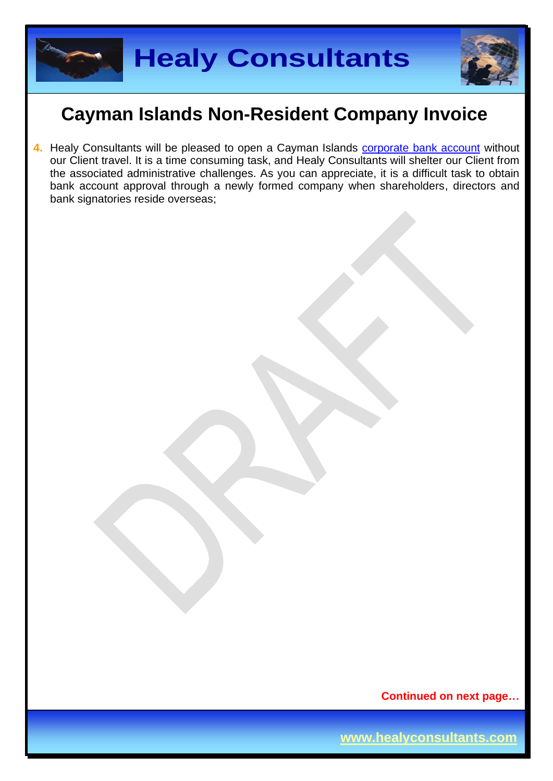

4. Healy Consultants will be pleased to open a Cayman Islands **[corporate bank account](http://www.healyconsultants.com/country-comparisons/corporate-banking-options-without-travel/)** without our Client travel. It is a time consuming task, and Healy Consultants will shelter our Client from the associated administrative challenges. As you can appreciate, it is a difficult task to obtain bank account approval through a newly formed company when shareholders, directors and bank signatories reside overseas;

**Continued on next page…**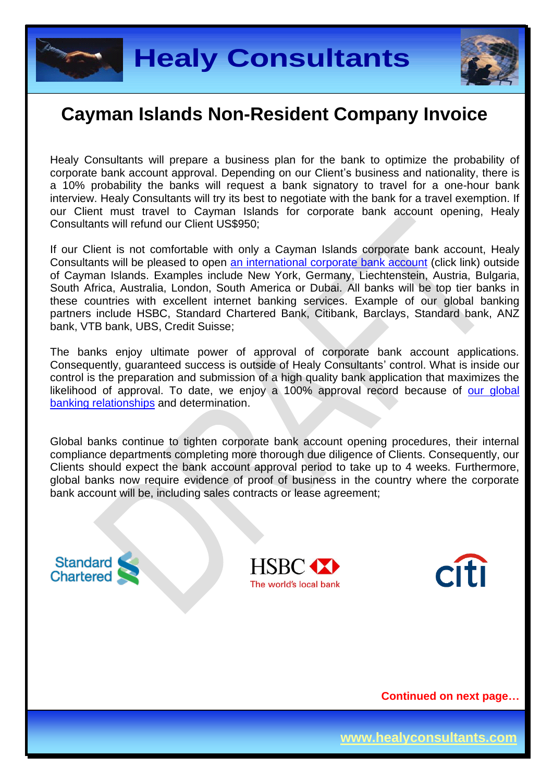



Healy Consultants will prepare a business plan for the bank to optimize the probability of corporate bank account approval. Depending on our Client's business and nationality, there is a 10% probability the banks will request a bank signatory to travel for a one-hour bank interview. Healy Consultants will try its best to negotiate with the bank for a travel exemption. If our Client must travel to Cayman Islands for corporate bank account opening, Healy Consultants will refund our Client US\$950;

If our Client is not comfortable with only a Cayman Islands corporate bank account, Healy Consultants will be pleased to open [an international corporate bank account](http://www.healyconsultants.com/international-banking/) (click link) outside of Cayman Islands. Examples include New York, Germany, Liechtenstein, Austria, Bulgaria, South Africa, Australia, London, South America or Dubai. All banks will be top tier banks in these countries with excellent internet banking services. Example of our global banking partners include HSBC, Standard Chartered Bank, Citibank, Barclays, Standard bank, ANZ bank, VTB bank, UBS, Credit Suisse;

The banks enjoy ultimate power of approval of corporate bank account applications. Consequently, guaranteed success is outside of Healy Consultants' control. What is inside our control is the preparation and submission of a high quality bank application that maximizes the likelihood of approval. To date, we enjoy a 100% approval record because of our global [banking relationships](http://www.healyconsultants.com/international-banking/corporate-accounts/) and determination.

Global banks continue to tighten corporate bank account opening procedures, their internal compliance departments completing more thorough due diligence of Clients. Consequently, our Clients should expect the bank account approval period to take up to 4 weeks. Furthermore, global banks now require evidence of proof of business in the country where the corporate bank account will be, including sales contracts or lease agreement;

**Standard** Chartered





**Continued on next page…**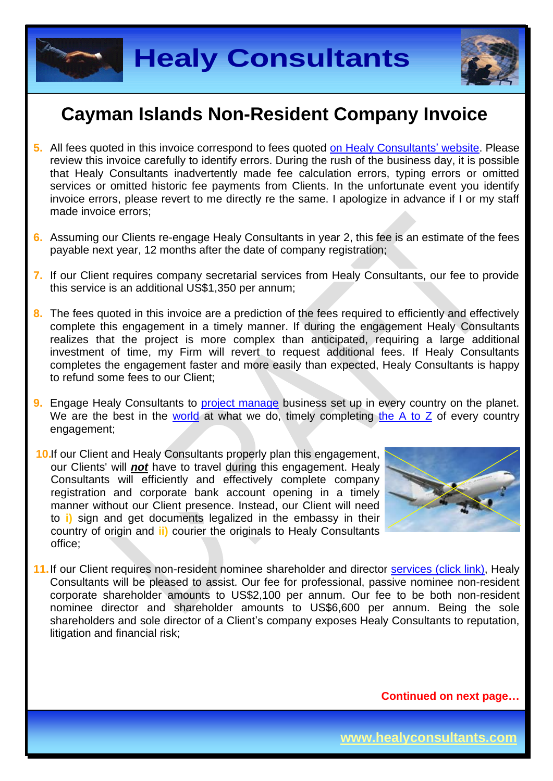



- **5.** All fees quoted in this invoice correspond to fees quoted [on Healy Consultants'](http://www.healyconsultants.com/company-registration-fees/) website. Please review this invoice carefully to identify errors. During the rush of the business day, it is possible that Healy Consultants inadvertently made fee calculation errors, typing errors or omitted services or omitted historic fee payments from Clients. In the unfortunate event you identify invoice errors, please revert to me directly re the same. I apologize in advance if I or my staff made invoice errors;
- **6.** Assuming our Clients re-engage Healy Consultants in year 2, this fee is an estimate of the fees payable next year, 12 months after the date of company registration;
- **7.** If our Client requires company secretarial services from Healy Consultants, our fee to provide this service is an additional US\$1,350 per annum;
- **8.** The fees quoted in this invoice are a prediction of the fees required to efficiently and effectively complete this engagement in a timely manner. If during the engagement Healy Consultants realizes that the project is more complex than anticipated, requiring a large additional investment of time, my Firm will revert to request additional fees. If Healy Consultants completes the engagement faster and more easily than expected, Healy Consultants is happy to refund some fees to our Client;
- **9.** Engage Healy Consultants to [project manage](http://www.healyconsultants.com/project-manage-engagements/) business set up in every country on the planet. We are the best in the [world](http://www.healyconsultants.com/best-in-the-world/) at what we do, timely completing the  $A$  to  $Z$  of every country engagement;
- **10.**If our Client and Healy Consultants properly plan this engagement, our Clients' will *not* have to travel during this engagement. Healy Consultants will efficiently and effectively complete company registration and corporate bank account opening in a timely manner without our Client presence. Instead, our Client will need to **i)** sign and get documents legalized in the embassy in their country of origin and **ii)** courier the originals to Healy Consultants office;



11. If our Client requires non-resident nominee shareholder and director services [\(click link\),](http://www.healyconsultants.com/corporate-outsourcing-services/nominee-shareholders-directors/) Healy Consultants will be pleased to assist. Our fee for professional, passive nominee non-resident corporate shareholder amounts to US\$2,100 per annum. Our fee to be both non-resident nominee director and shareholder amounts to US\$6,600 per annum. Being the sole shareholders and sole director of a Client's company exposes Healy Consultants to reputation, litigation and financial risk;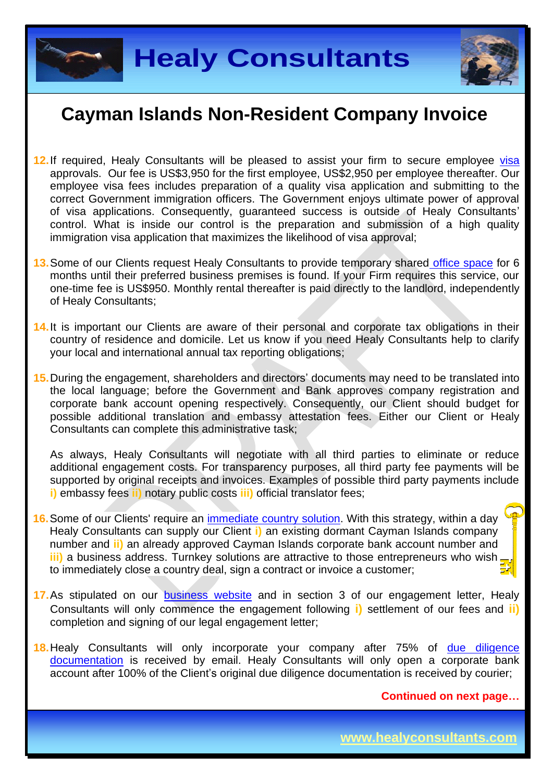



- **12.**If required, Healy Consultants will be pleased to assist your firm to secure employee [visa](http://www.healyconsultants.com/corporate-advisory-services/migration/) approvals. Our fee is US\$3,950 for the first employee, US\$2,950 per employee thereafter. Our employee visa fees includes preparation of a quality visa application and submitting to the correct Government immigration officers. The Government enjoys ultimate power of approval of visa applications. Consequently, guaranteed success is outside of Healy Consultants' control. What is inside our control is the preparation and submission of a high quality immigration visa application that maximizes the likelihood of visa approval;
- **13.**Some of our Clients request Healy Consultants to provide temporary shared [office space](http://www.healyconsultants.com/virtual-office/) for 6 months until their preferred business premises is found. If your Firm requires this service, our one-time fee is US\$950. Monthly rental thereafter is paid directly to the landlord, independently of Healy Consultants;
- **14.**It is important our Clients are aware of their personal and corporate tax obligations in their country of residence and domicile. Let us know if you need Healy Consultants help to clarify your local and international annual tax reporting obligations;
- **15.**During the engagement, shareholders and directors' documents may need to be translated into the local language; before the Government and Bank approves company registration and corporate bank account opening respectively. Consequently, our Client should budget for possible additional translation and embassy attestation fees. Either our Client or Healy Consultants can complete this administrative task;

As always, Healy Consultants will negotiate with all third parties to eliminate or reduce additional engagement costs. For transparency purposes, all third party fee payments will be supported by original receipts and invoices. Examples of possible third party payments include **i)** embassy fees **ii)** notary public costs **iii)** official translator fees;

- **16.**Some of our Clients' require an [immediate country](http://www.healyconsultants.com/turnkey-solutions/) solution. With this strategy, within a day Healy Consultants can supply our Client **i)** an existing dormant Cayman Islands company number and **ii)** an already approved Cayman Islands corporate bank account number and **iii)** a business address. Turnkey solutions are attractive to those entrepreneurs who wish. to immediately close a country deal, sign a contract or invoice a customer;
- **17.**As stipulated on our [business website](http://www.healyconsultants.com/) and in section 3 of our engagement letter, Healy Consultants will only commence the engagement following **i)** settlement of our fees and **ii)** completion and signing of our legal engagement letter;
- **18.**Healy Consultants will only incorporate your company after 75% of [due diligence](http://www.healyconsultants.com/due-diligence/)  [documentation](http://www.healyconsultants.com/due-diligence/) is received by email. Healy Consultants will only open a corporate bank account after 100% of the Client's original due diligence documentation is received by courier;

**Continued on next page…**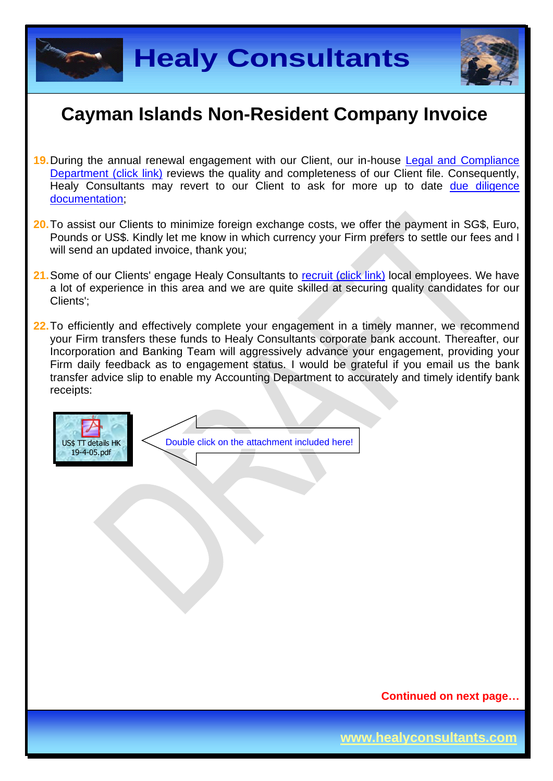



- **19.**During the annual renewal engagement with our Client, our in-house [Legal and Compliance](http://www.healyconsultants.com/about-us/key-personnel/cai-xin-profile/)  [Department \(click link\)](http://www.healyconsultants.com/about-us/key-personnel/cai-xin-profile/) reviews the quality and completeness of our Client file. Consequently, Healy Consultants may revert to our Client to ask for more up to date due diligence [documentation;](http://www.healyconsultants.com/due-diligence/)
- **20.**To assist our Clients to minimize foreign exchange costs, we offer the payment in SG\$, Euro, Pounds or US\$. Kindly let me know in which currency your Firm prefers to settle our fees and I will send an updated invoice, thank you;
- 21. Some of our Clients' engage Healy Consultants to [recruit \(click link\)](http://www.healyconsultants.com/corporate-outsourcing-services/how-we-help-our-clients-recruit-quality-employees/) local employees. We have a lot of experience in this area and we are quite skilled at securing quality candidates for our Clients';
- **22.**To efficiently and effectively complete your engagement in a timely manner, we recommend your Firm transfers these funds to Healy Consultants corporate bank account. Thereafter, our Incorporation and Banking Team will aggressively advance your engagement, providing your Firm daily feedback as to engagement status. I would be grateful if you email us the bank transfer advice slip to enable my Accounting Department to accurately and timely identify bank receipts:



### **Continued on next page…**